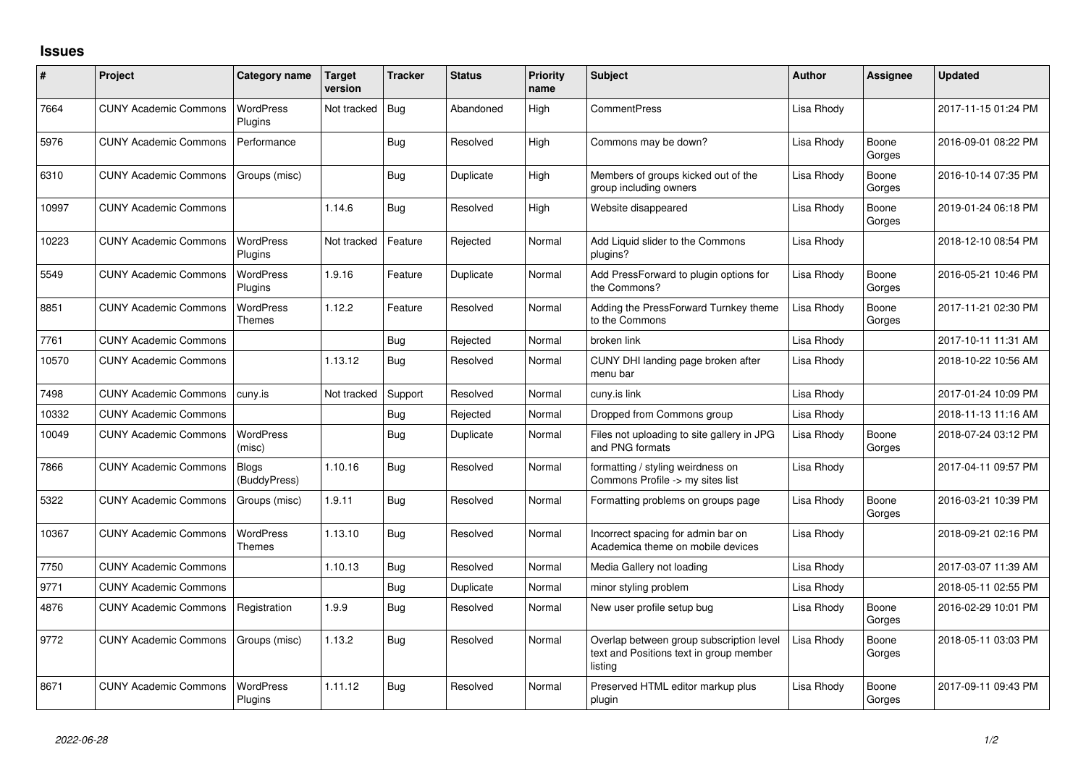## **Issues**

| #     | Project                      | Category name                     | Target<br>version | <b>Tracker</b> | <b>Status</b> | <b>Priority</b><br>name | <b>Subject</b>                                                                                 | <b>Author</b> | <b>Assignee</b> | <b>Updated</b>      |
|-------|------------------------------|-----------------------------------|-------------------|----------------|---------------|-------------------------|------------------------------------------------------------------------------------------------|---------------|-----------------|---------------------|
| 7664  | <b>CUNY Academic Commons</b> | <b>WordPress</b><br>Plugins       | Not tracked       | Bug            | Abandoned     | High                    | <b>CommentPress</b>                                                                            | Lisa Rhody    |                 | 2017-11-15 01:24 PM |
| 5976  | <b>CUNY Academic Commons</b> | Performance                       |                   | Bug            | Resolved      | High                    | Commons may be down?                                                                           | Lisa Rhody    | Boone<br>Gorges | 2016-09-01 08:22 PM |
| 6310  | <b>CUNY Academic Commons</b> | Groups (misc)                     |                   | Bug            | Duplicate     | High                    | Members of groups kicked out of the<br>group including owners                                  | Lisa Rhody    | Boone<br>Gorges | 2016-10-14 07:35 PM |
| 10997 | <b>CUNY Academic Commons</b> |                                   | 1.14.6            | Bug            | Resolved      | High                    | Website disappeared                                                                            | Lisa Rhody    | Boone<br>Gorges | 2019-01-24 06:18 PM |
| 10223 | <b>CUNY Academic Commons</b> | <b>WordPress</b><br>Plugins       | Not tracked       | Feature        | Rejected      | Normal                  | Add Liquid slider to the Commons<br>plugins?                                                   | Lisa Rhody    |                 | 2018-12-10 08:54 PM |
| 5549  | <b>CUNY Academic Commons</b> | WordPress<br>Plugins              | 1.9.16            | Feature        | Duplicate     | Normal                  | Add PressForward to plugin options for<br>the Commons?                                         | Lisa Rhody    | Boone<br>Gorges | 2016-05-21 10:46 PM |
| 8851  | <b>CUNY Academic Commons</b> | <b>WordPress</b><br><b>Themes</b> | 1.12.2            | Feature        | Resolved      | Normal                  | Adding the PressForward Turnkey theme<br>to the Commons                                        | Lisa Rhody    | Boone<br>Gorges | 2017-11-21 02:30 PM |
| 7761  | <b>CUNY Academic Commons</b> |                                   |                   | Bug            | Rejected      | Normal                  | broken link                                                                                    | Lisa Rhody    |                 | 2017-10-11 11:31 AM |
| 10570 | <b>CUNY Academic Commons</b> |                                   | 1.13.12           | Bug            | Resolved      | Normal                  | CUNY DHI landing page broken after<br>menu bar                                                 | Lisa Rhody    |                 | 2018-10-22 10:56 AM |
| 7498  | <b>CUNY Academic Commons</b> | cuny.is                           | Not tracked       | Support        | Resolved      | Normal                  | cuny.is link                                                                                   | Lisa Rhody    |                 | 2017-01-24 10:09 PM |
| 10332 | <b>CUNY Academic Commons</b> |                                   |                   | Bug            | Rejected      | Normal                  | Dropped from Commons group                                                                     | Lisa Rhody    |                 | 2018-11-13 11:16 AM |
| 10049 | <b>CUNY Academic Commons</b> | <b>WordPress</b><br>(misc)        |                   | Bug            | Duplicate     | Normal                  | Files not uploading to site gallery in JPG<br>and PNG formats                                  | Lisa Rhody    | Boone<br>Gorges | 2018-07-24 03:12 PM |
| 7866  | <b>CUNY Academic Commons</b> | <b>Blogs</b><br>(BuddyPress)      | 1.10.16           | <b>Bug</b>     | Resolved      | Normal                  | formatting / styling weirdness on<br>Commons Profile -> my sites list                          | Lisa Rhody    |                 | 2017-04-11 09:57 PM |
| 5322  | <b>CUNY Academic Commons</b> | Groups (misc)                     | 1.9.11            | Bug            | Resolved      | Normal                  | Formatting problems on groups page                                                             | Lisa Rhody    | Boone<br>Gorges | 2016-03-21 10:39 PM |
| 10367 | <b>CUNY Academic Commons</b> | WordPress<br>Themes               | 1.13.10           | Bug            | Resolved      | Normal                  | Incorrect spacing for admin bar on<br>Academica theme on mobile devices                        | Lisa Rhody    |                 | 2018-09-21 02:16 PM |
| 7750  | <b>CUNY Academic Commons</b> |                                   | 1.10.13           | Bug            | Resolved      | Normal                  | Media Gallery not loading                                                                      | Lisa Rhody    |                 | 2017-03-07 11:39 AM |
| 9771  | <b>CUNY Academic Commons</b> |                                   |                   | Bug            | Duplicate     | Normal                  | minor styling problem                                                                          | Lisa Rhody    |                 | 2018-05-11 02:55 PM |
| 4876  | <b>CUNY Academic Commons</b> | Registration                      | 1.9.9             | Bug            | Resolved      | Normal                  | New user profile setup bug                                                                     | Lisa Rhody    | Boone<br>Gorges | 2016-02-29 10:01 PM |
| 9772  | <b>CUNY Academic Commons</b> | Groups (misc)                     | 1.13.2            | Bug            | Resolved      | Normal                  | Overlap between group subscription level<br>text and Positions text in group member<br>listing | Lisa Rhody    | Boone<br>Gorges | 2018-05-11 03:03 PM |
| 8671  | <b>CUNY Academic Commons</b> | <b>WordPress</b><br>Plugins       | 1.11.12           | Bug            | Resolved      | Normal                  | Preserved HTML editor markup plus<br>plugin                                                    | Lisa Rhody    | Boone<br>Gorges | 2017-09-11 09:43 PM |